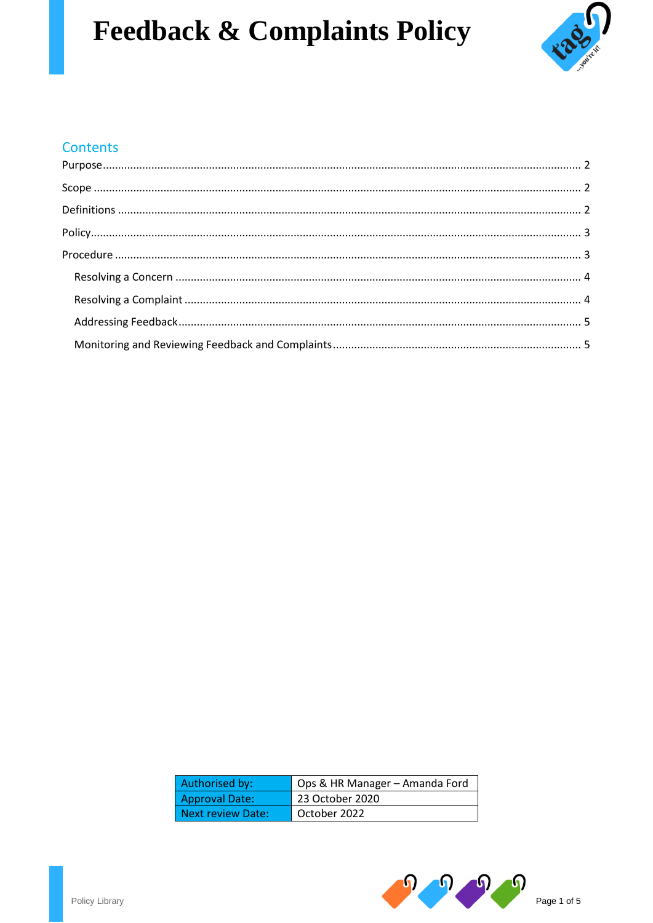# **Feedback & Complaints Policy**



# Contents

| Authorised by:        | Ops & HR Manager – Amanda Ford |
|-----------------------|--------------------------------|
| <b>Approval Date:</b> | 23 October 2020                |
| Next review Date:     | October 2022                   |

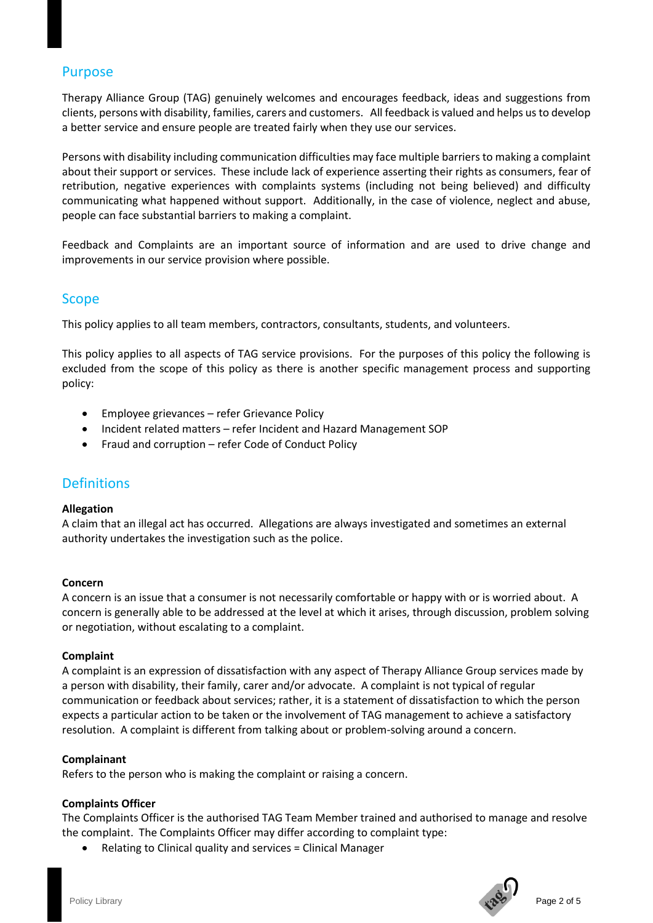## <span id="page-1-0"></span>Purpose

Therapy Alliance Group (TAG) genuinely welcomes and encourages feedback, ideas and suggestions from clients, persons with disability, families, carers and customers. All feedback is valued and helps us to develop a better service and ensure people are treated fairly when they use our services.

Persons with disability including communication difficulties may face multiple barriers to making a complaint about their support or services. These include lack of experience asserting their rights as consumers, fear of retribution, negative experiences with complaints systems (including not being believed) and difficulty communicating what happened without support. Additionally, in the case of violence, neglect and abuse, people can face substantial barriers to making a complaint.

Feedback and Complaints are an important source of information and are used to drive change and improvements in our service provision where possible.

## <span id="page-1-1"></span>Scope

This policy applies to all team members, contractors, consultants, students, and volunteers.

This policy applies to all aspects of TAG service provisions. For the purposes of this policy the following is excluded from the scope of this policy as there is another specific management process and supporting policy:

- Employee grievances refer Grievance Policy
- Incident related matters refer Incident and Hazard Management SOP
- Fraud and corruption refer Code of Conduct Policy

## <span id="page-1-2"></span>**Definitions**

#### **Allegation**

A claim that an illegal act has occurred. Allegations are always investigated and sometimes an external authority undertakes the investigation such as the police.

#### **Concern**

A concern is an issue that a consumer is not necessarily comfortable or happy with or is worried about. A concern is generally able to be addressed at the level at which it arises, through discussion, problem solving or negotiation, without escalating to a complaint.

#### **Complaint**

A complaint is an expression of dissatisfaction with any aspect of Therapy Alliance Group services made by a person with disability, their family, carer and/or advocate. A complaint is not typical of regular communication or feedback about services; rather, it is a statement of dissatisfaction to which the person expects a particular action to be taken or the involvement of TAG management to achieve a satisfactory resolution. A complaint is different from talking about or problem-solving around a concern.

#### **Complainant**

Refers to the person who is making the complaint or raising a concern.

#### **Complaints Officer**

The Complaints Officer is the authorised TAG Team Member trained and authorised to manage and resolve the complaint. The Complaints Officer may differ according to complaint type:

• Relating to Clinical quality and services = Clinical Manager

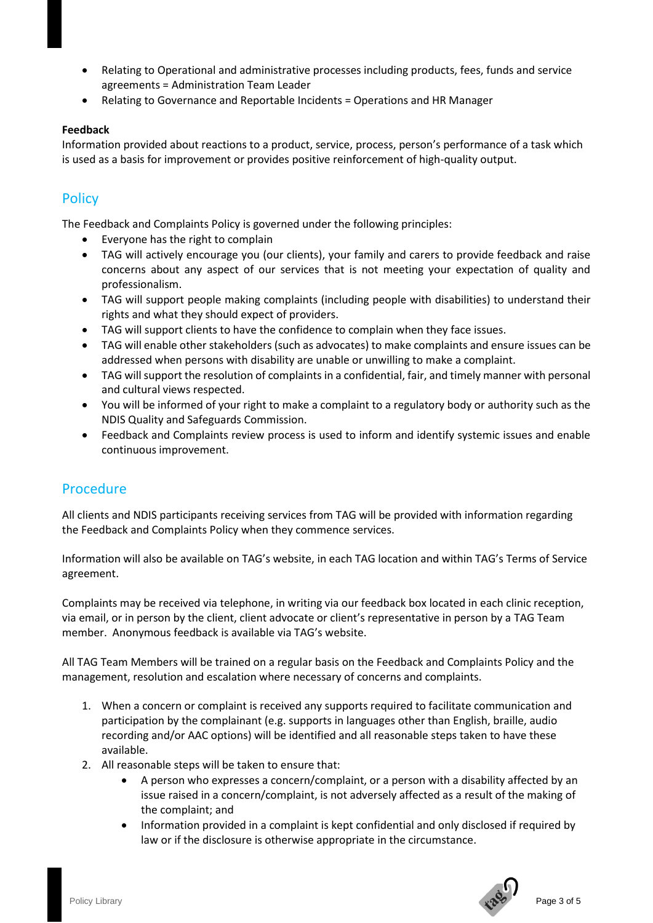- Relating to Operational and administrative processes including products, fees, funds and service agreements = Administration Team Leader
- Relating to Governance and Reportable Incidents = Operations and HR Manager

#### **Feedback**

Information provided about reactions to a product, service, process, person's performance of a task which is used as a basis for improvement or provides positive reinforcement of high-quality output.

# <span id="page-2-0"></span>**Policy**

The Feedback and Complaints Policy is governed under the following principles:

- Everyone has the right to complain
- TAG will actively encourage you (our clients), your family and carers to provide feedback and raise concerns about any aspect of our services that is not meeting your expectation of quality and professionalism.
- TAG will support people making complaints (including people with disabilities) to understand their rights and what they should expect of providers.
- TAG will support clients to have the confidence to complain when they face issues.
- TAG will enable other stakeholders (such as advocates) to make complaints and ensure issues can be addressed when persons with disability are unable or unwilling to make a complaint.
- TAG will support the resolution of complaints in a confidential, fair, and timely manner with personal and cultural views respected.
- You will be informed of your right to make a complaint to a regulatory body or authority such as the NDIS Quality and Safeguards Commission.
- Feedback and Complaints review process is used to inform and identify systemic issues and enable continuous improvement.

## <span id="page-2-1"></span>Procedure

All clients and NDIS participants receiving services from TAG will be provided with information regarding the Feedback and Complaints Policy when they commence services.

Information will also be available on TAG's website, in each TAG location and within TAG's Terms of Service agreement.

Complaints may be received via telephone, in writing via our feedback box located in each clinic reception, via email, or in person by the client, client advocate or client's representative in person by a TAG Team member. Anonymous feedback is available via TAG's website.

All TAG Team Members will be trained on a regular basis on the Feedback and Complaints Policy and the management, resolution and escalation where necessary of concerns and complaints.

- 1. When a concern or complaint is received any supports required to facilitate communication and participation by the complainant (e.g. supports in languages other than English, braille, audio recording and/or AAC options) will be identified and all reasonable steps taken to have these available.
- 2. All reasonable steps will be taken to ensure that:
	- A person who expresses a concern/complaint, or a person with a disability affected by an issue raised in a concern/complaint, is not adversely affected as a result of the making of the complaint; and
	- Information provided in a complaint is kept confidential and only disclosed if required by law or if the disclosure is otherwise appropriate in the circumstance.

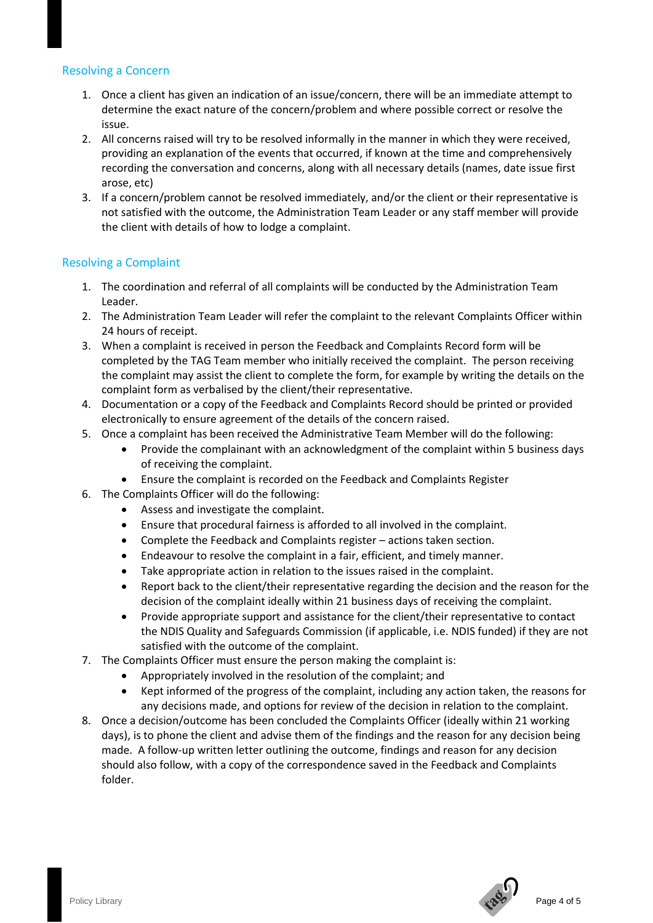## <span id="page-3-0"></span>Resolving a Concern

- 1. Once a client has given an indication of an issue/concern, there will be an immediate attempt to determine the exact nature of the concern/problem and where possible correct or resolve the issue.
- 2. All concerns raised will try to be resolved informally in the manner in which they were received, providing an explanation of the events that occurred, if known at the time and comprehensively recording the conversation and concerns, along with all necessary details (names, date issue first arose, etc)
- 3. If a concern/problem cannot be resolved immediately, and/or the client or their representative is not satisfied with the outcome, the Administration Team Leader or any staff member will provide the client with details of how to lodge a complaint.

## <span id="page-3-1"></span>Resolving a Complaint

- 1. The coordination and referral of all complaints will be conducted by the Administration Team Leader.
- 2. The Administration Team Leader will refer the complaint to the relevant Complaints Officer within 24 hours of receipt.
- 3. When a complaint is received in person the Feedback and Complaints Record form will be completed by the TAG Team member who initially received the complaint. The person receiving the complaint may assist the client to complete the form, for example by writing the details on the complaint form as verbalised by the client/their representative.
- 4. Documentation or a copy of the Feedback and Complaints Record should be printed or provided electronically to ensure agreement of the details of the concern raised.
- 5. Once a complaint has been received the Administrative Team Member will do the following:
	- Provide the complainant with an acknowledgment of the complaint within 5 business days of receiving the complaint.
	- Ensure the complaint is recorded on the Feedback and Complaints Register
- 6. The Complaints Officer will do the following:
	- Assess and investigate the complaint.
	- Ensure that procedural fairness is afforded to all involved in the complaint.
	- Complete the Feedback and Complaints register actions taken section.
	- Endeavour to resolve the complaint in a fair, efficient, and timely manner.
	- Take appropriate action in relation to the issues raised in the complaint.
	- Report back to the client/their representative regarding the decision and the reason for the decision of the complaint ideally within 21 business days of receiving the complaint.
	- Provide appropriate support and assistance for the client/their representative to contact the NDIS Quality and Safeguards Commission (if applicable, i.e. NDIS funded) if they are not satisfied with the outcome of the complaint.
- 7. The Complaints Officer must ensure the person making the complaint is:
	- Appropriately involved in the resolution of the complaint; and
	- Kept informed of the progress of the complaint, including any action taken, the reasons for any decisions made, and options for review of the decision in relation to the complaint.
- 8. Once a decision/outcome has been concluded the Complaints Officer (ideally within 21 working days), is to phone the client and advise them of the findings and the reason for any decision being made. A follow-up written letter outlining the outcome, findings and reason for any decision should also follow, with a copy of the correspondence saved in the Feedback and Complaints folder.